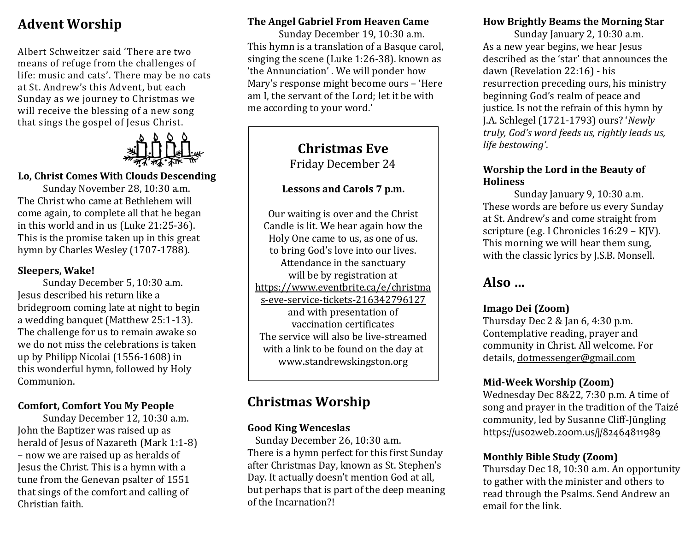## **Advent Worship**

Albert Schweitzer said 'There are two means of refuge from the challenges of life: music and cats'. There may be no cats at St. Andrew's this Advent, but each Sunday as we journey to Christmas we will receive the blessing of a new song that sings the gospel of Jesus Christ.



#### **Lo, Christ Comes With Clouds Descending**

Sunday November 28, 10:30 a.m. The Christ who came at Bethlehem will come again, to complete all that he began in this world and in us (Luke 21:25-36). This is the promise taken up in this great hymn by Charles Wesley (1707-1788).

#### **Sleepers, Wake!**

Sunday December 5, 10:30 a.m. Jesus described his return like a bridegroom coming late at night to begin a wedding banquet (Matthew 25:1-13). The challenge for us to remain awake so we do not miss the celebrations is taken up by Philipp Nicolai (1556-1608) in this wonderful hymn, followed by Holy Communion.

#### **Comfort, Comfort You My People**

Sunday December 12, 10:30 a.m. John the Baptizer was raised up as herald of Jesus of Nazareth (Mark 1:1-8) – now we are raised up as heralds of Jesus the Christ. This is a hymn with a tune from the Genevan psalter of 1551 that sings of the comfort and calling of Christian faith.

#### **The Angel Gabriel From Heaven Came**

Sunday December 19, 10:30 a.m. This hymn is a translation of a Basque carol, singing the scene (Luke 1:26-38). known as 'the Annunciation' . We will ponder how Mary's response might become ours – 'Here am I, the servant of the Lord; let it be with me according to your word.'

#### **Christmas Eve** Friday December 24

#### **Lessons and Carols 7 p.m.**

Our waiting is over and the Christ Candle is lit. We hear again how the Holy One came to us, as one of us. to bring God's love into our lives. Attendance in the sanctuary will be by registration at [https://www.eventbrite.ca/e/christma](https://www.eventbrite.ca/e/christmas-eve-service-tickets-216342796127) [s-eve-service-tickets-216342796127](https://www.eventbrite.ca/e/christmas-eve-service-tickets-216342796127) and with presentation of vaccination certificates The service will also be live-streamed with a link to be found on the day at www.standrewskingston.org

## **Christmas Worship**

#### **Good King Wenceslas**

Sunday December 26, 10:30 a.m. There is a hymn perfect for this first Sunday after Christmas Day, known as St. Stephen's Day. It actually doesn't mention God at all, but perhaps that is part of the deep meaning of the Incarnation?!

#### **How Brightly Beams the Morning Star**

Sunday January 2, 10:30 a.m. As a new year begins, we hear Jesus described as the 'star' that announces the dawn (Revelation 22:16) - his resurrection preceding ours, his ministry beginning God's realm of peace and justice. Is not the refrain of this hymn by J.A. Schlegel (1721-1793) ours? '*Newly truly, God's word feeds us, rightly leads us, life bestowing'*.

#### **Worship the Lord in the Beauty of Holiness**

Sunday January 9, 10:30 a.m. These words are before us every Sunday at St. Andrew's and come straight from scripture (e.g. I Chronicles 16:29 – KJV). This morning we will hear them sung, with the classic lyrics by J.S.B. Monsell.

## **Also …**

#### **Imago Dei (Zoom)**

Thursday Dec 2 & Jan 6, 4:30 p.m. Contemplative reading, prayer and community in Christ. All welcome. For details, [dotmessenger@gmail.com](mailto:dotmessenger@gmail.com)

#### **Mid-Week Worship (Zoom)**

Wednesday Dec 8&22, 7:30 p.m. A time of song and prayer in the tradition of the Taizé community, led by Susanne Cliff-Jüngling https://us02web.zoom.us/j/82464811989

#### **Monthly Bible Study (Zoom)**

Thursday Dec 18, 10:30 a.m. An opportunity to gather with the minister and others to read through the Psalms. Send Andrew an email for the link.